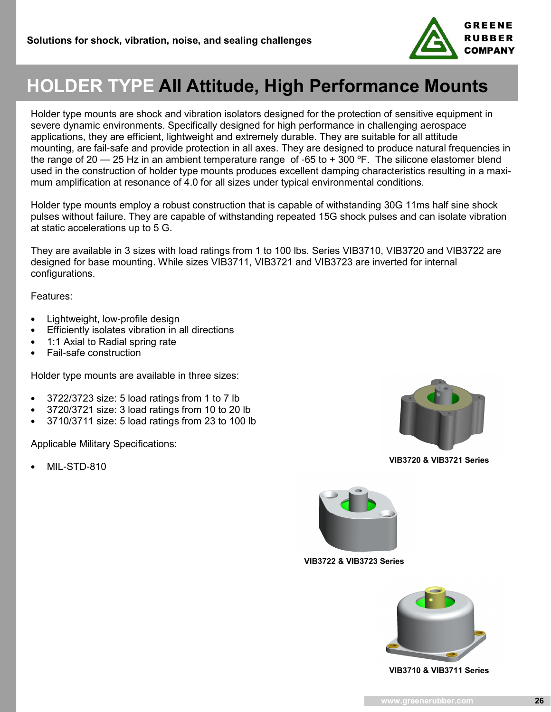

# **HOLDER TYPE All Attitude, High Performance Mounts**

Holder type mounts are shock and vibration isolators designed for the protection of sensitive equipment in severe dynamic environments. Specifically designed for high performance in challenging aerospace applications, they are efficient, lightweight and extremely durable. They are suitable for all attitude mounting, are fail-safe and provide protection in all axes. They are designed to produce natural frequencies in the range of 20 — 25 Hz in an ambient temperature range of -65 to + 300 °F. The silicone elastomer blend used in the construction of holder type mounts produces excellent damping characteristics resulting in a maximum amplification at resonance of 4.0 for all sizes under typical environmental conditions.

Holder type mounts employ a robust construction that is capable of withstanding 30G 11ms half sine shock pulses without failure. They are capable of withstanding repeated 15G shock pulses and can isolate vibration at static accelerations up to 5 G.

They are available in 3 sizes with load ratings from 1 to 100 lbs. Series VIB3710, VIB3720 and VIB3722 are designed for base mounting. While sizes VIB3711, VIB3721 and VIB3723 are inverted for internal configurations.

Features:

- Lightweight, low-profile design
- Efficiently isolates vibration in all directions
- 1:1 Axial to Radial spring rate
- Fail-safe construction

Holder type mounts are available in three sizes:

- 3722/3723 size: 5 load ratings from 1 to 7 lb
- 3720/3721 size: 3 load ratings from 10 to 20 lb
- 3710/3711 size: 5 load ratings from 23 to 100 lb

Applicable Military Specifications:

• MIL-STD-810



**VIB3720 & VIB3721 Series**



**VIB3722 & VIB3723 Series**



**VIB3710 & VIB3711 Series**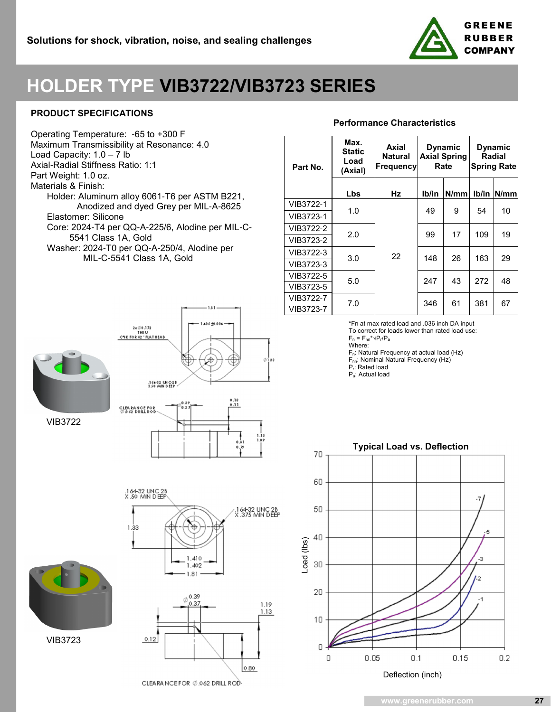

# **HOLDER TYPE VIB3722/VIB3723 SERIES**

### **PRODUCT SPECIFICATIONS**

Operating Temperature: -65 to +300 F Maximum Transmissibility at Resonance: 4.0 Load Capacity: 1.0 – 7 lb Axial-Radial Stiffness Ratio: 1:1 Part Weight: 1.0 oz. Materials & Finish: Holder: Aluminum alloy 6061-T6 per ASTM B221, Anodized and dyed Grey per MIL-A-8625 Elastomer: Silicone Core: 2024-T4 per QQ-A-225/6, Alodine per MIL-C- 5541 Class 1A, Gold Washer: 2024-T0 per QQ-A-250/4, Alodine per MIL-C-5541 Class 1A, Gold

 $2 \times \emptyset 0.172$ <br>THRU<br>C'SK FOR 82 "FLATHEAD



VIB3722

VIB3723



.164-32 UNC 2<mark>B</mark><br>X .375 MIN DEEP

406 +0.00





**Max. Axial Dynamic Performance Characteristics**

| Part No.  | Max.<br><b>Static</b><br>Load<br>(Axial) | Axial<br>Natural<br> Frequency | <b>Dynamic</b><br><b>Axial Spring</b><br>Rate |      | <b>Dynamic</b><br>Radial<br><b>Spring Rate</b> |      |
|-----------|------------------------------------------|--------------------------------|-----------------------------------------------|------|------------------------------------------------|------|
|           | Lbs                                      | Hz                             | Ib/in                                         | N/mm | Ib/in                                          | N/mm |
| VIB3722-1 | 1.0                                      | 22                             | 49                                            | 9    | 54                                             | 10   |
| VIB3723-1 |                                          |                                |                                               |      |                                                |      |
| VIB3722-2 | 2.0                                      |                                | 99                                            | 17   | 109                                            | 19   |
| VIB3723-2 |                                          |                                |                                               |      |                                                |      |
| VIB3722-3 | 3.0                                      |                                | 148                                           | 26   | 163                                            | 29   |
| VIB3723-3 |                                          |                                |                                               |      |                                                |      |
| VIB3722-5 | 5.0                                      |                                | 247                                           | 43   | 272                                            | 48   |
| VIB3723-5 |                                          |                                |                                               |      |                                                |      |
| VIB3722-7 | 7.0                                      |                                | 346                                           | 61   | 381                                            | 67   |
| VIB3723-7 |                                          |                                |                                               |      |                                                |      |

\*Fn at max rated load and .036 inch DA input

To correct for loads lower than rated load use:

 $F_n = F_{nn}^* \sqrt{P_n/P_a}$ 

Where: Fn: Natural Frequency at actual load (Hz)

F<sub>nn</sub>: Nominal Natural Frequency (Hz)

Pr: Rated load

Pa: Actual load



**www.greenerubber.com**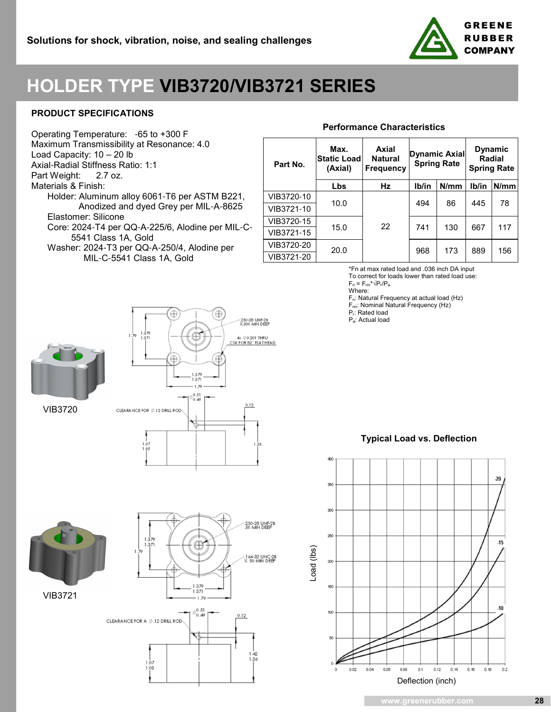

# **HOLDER TYPE VIB3720/VIB3721 SERIES**

### **PRODUCT SPECIFICATIONS**

Operating Temperature: -65 to +300 F Maximum Transmissibility at Resonance: 4.0 Load Capacity: 10 – 20 lb Axial-Radial Stiffness Ratio: 1:1 Part Weight: 2.7 oz. Materials & Finish: Holder: Aluminum alloy 6061-T6 per ASTM B221, Anodized and dyed Grey per MIL-A-8625 Elastomer: Silicone Core: 2024-T4 per QQ-A-225/6, Alodine per MIL-C- 5541 Class 1A, Gold

Washer: 2024-T3 per QQ-A-250/4, Alodine per MIL-C-5541 Class 1A, Gold

## **Performance Characteristics**

| Part No.   | Max.<br><b>Static Load</b><br>(Axial) | Axial<br><b>Natural</b><br><b>Frequency</b> | Dynamic Axial<br><b>Spring Rate</b> |      | <b>Dynamic</b><br><b>Radial</b><br><b>Spring Rate</b> |      |
|------------|---------------------------------------|---------------------------------------------|-------------------------------------|------|-------------------------------------------------------|------|
|            | Lbs                                   | Hz                                          | lb/in                               | N/mm | Ib/in                                                 | N/mm |
| VIB3720-10 | 10.0                                  | 22                                          | 494                                 | 86   | 445                                                   | 78   |
| VIB3721-10 |                                       |                                             |                                     |      |                                                       |      |
| VIB3720-15 | 15.0                                  |                                             | 741                                 | 130  | 667                                                   | 117  |
| VIB3721-15 |                                       |                                             |                                     |      |                                                       |      |
| VIB3720-20 | 20.0                                  |                                             | 968                                 | 173  | 889                                                   | 156  |
| VIB3721-20 |                                       |                                             |                                     |      |                                                       |      |

\*Fn at max rated load and .036 inch DA input

To correct for loads lower than rated load use:  $F_n = F_{nn} * \sqrt{P_r/P_a}$ 

Where:

Fn: Natural Frequency at actual load (Hz)

F<sub>nn</sub>: Nominal Natural Frequency (Hz)

Pr: Rated load

Pa: Actual load



VIB3720





250-28 UNF-2<mark>B</mark><br>50 MIN DEEP 1.379 371 .1 64-32 UNC-28<br>X. 50 MIN DEEP 1.379<br>1.371  $\phi_{0.40}^{0.51}$  $0.49$  $0.12$ CLEARANCE FOR A  $\phi$  .12 DRILL ROD \ 1.36 1.07 1.05

**Typical Load vs. Deflection**